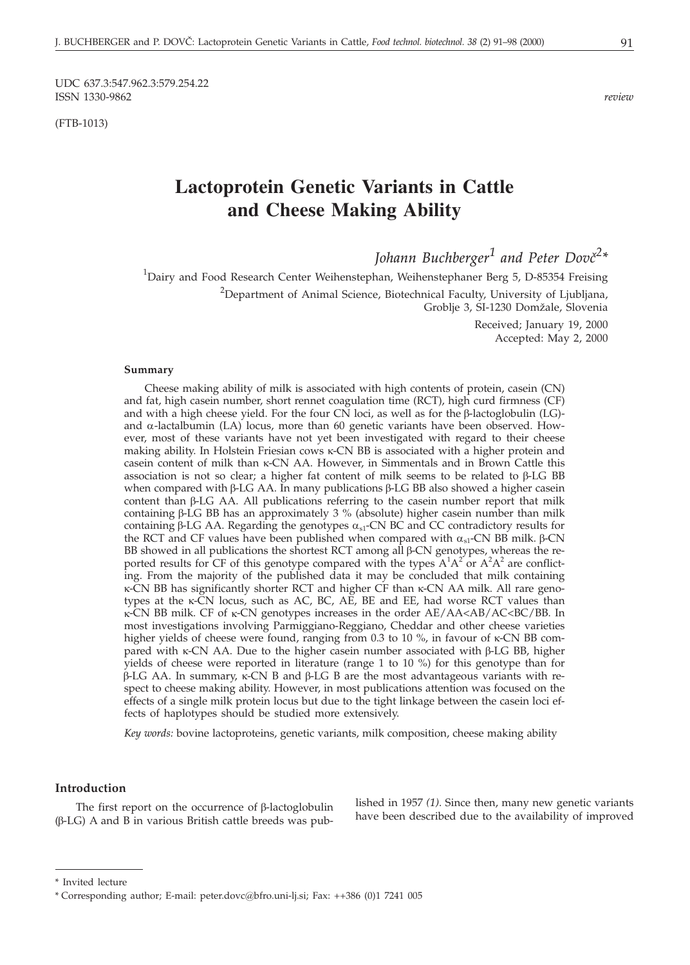(FTB-1013)

# **Lactoprotein Genetic Variants in Cattle and Cheese Making Ability**

Johann Buchberger<sup>1</sup> and Peter Dovč<sup>2</sup>\*

<sup>1</sup>Dairy and Food Research Center Weihenstephan, Weihenstephaner Berg 5, D-85354 Freising  $^{2}$ Department of Animal Science, Biotechnical Faculty, University of Ljubljana, Groblje 3, SI-1230 Domžale, Slovenia

Received; January 19, 2000 Accepted: May 2, 2000

#### **Summary**

Cheese making ability of milk is associated with high contents of protein, casein (CN) and fat, high casein number, short rennet coagulation time (RCT), high curd firmness (CF) and with a high cheese yield. For the four CN loci, as well as for the  $\beta$ -lactoglobulin (LG)and  $\alpha$ -lactalbumin (LA) locus, more than 60 genetic variants have been observed. However, most of these variants have not yet been investigated with regard to their cheese making ability. In Holstein Friesian cows  $\kappa$ -CN BB is associated with a higher protein and  $\alpha$ casein content of milk than  $\kappa$ -CN AA. However, in Simmentals and in Brown Cattle this association is not so clear; a higher fat content of milk seems to be related to  $\beta$ -LG BB when compared with  $\beta$ -LG AA. In many publications  $\beta$ -LG BB also showed a higher casein content than  $\beta$ -LG AA. All publications referring to the casein number report that milk containing  $\beta$ -LG BB has an approximately 3 % (absolute) higher casein number than milk containing  $\beta$ -LG AA. Regarding the genotypes  $\alpha_{s1}$ -CN BC and CC contradictory results for the RCT and CF values have been published when compared with  $\alpha_{s1}$ -CN BB milk.  $\beta$ -CN BB showed in all publications the shortest RCT among all  $\beta$ -CN genotypes, whereas the reported results for CF of this genotype compared with the types  $A^1A^2$  or  $A^2A^2$  are conflicting. From the majority of the published data it may be concluded that milk containing  $\kappa$ -CN BB has significantly shorter RCT and higher CF than  $\kappa$ -CN AA milk. All rare genotypes at the  $\kappa$ -CN locus, such as AC, BC, AE, BE and EE, had worse RCT values than  $\kappa$ -CN BB milk. CF of  $\kappa$ -CN genotypes increases in the order AE/AA<AB/AC<BC/BB. In most investigations involving Parmiggiano-Reggiano, Cheddar and other cheese varieties higher yields of cheese were found, ranging from 0.3 to 10 %, in favour of  $\kappa$ -CN BB compared with  $\kappa$ -CN AA. Due to the higher casein number associated with  $\beta$ -LG BB, higher yields of cheese were reported in literature (range 1 to 10 %) for this genotype than for  $\beta$ -LG AA. In summary,  $\kappa$ -CN B and  $\beta$ -LG B are the most advantageous variants with respect to cheese making ability. However, in most publications attention was focused on the effects of a single milk protein locus but due to the tight linkage between the casein loci effects of haplotypes should be studied more extensively.

*Key words:* bovine lactoproteins, genetic variants, milk composition, cheese making ability

#### **Introduction**

The first report on the occurrence of  $\beta$ -lactoglobulin  $(\beta$ -LG) A and B in various British cattle breeds was published in 1957 *(1)*. Since then, many new genetic variants have been described due to the availability of improved

<sup>\*</sup> Invited lecture

<sup>\*</sup> Corresponding author; E-mail: peter.dovc*@*bfro.uni-lj.si; Fax: ++386 (0)1 7241 005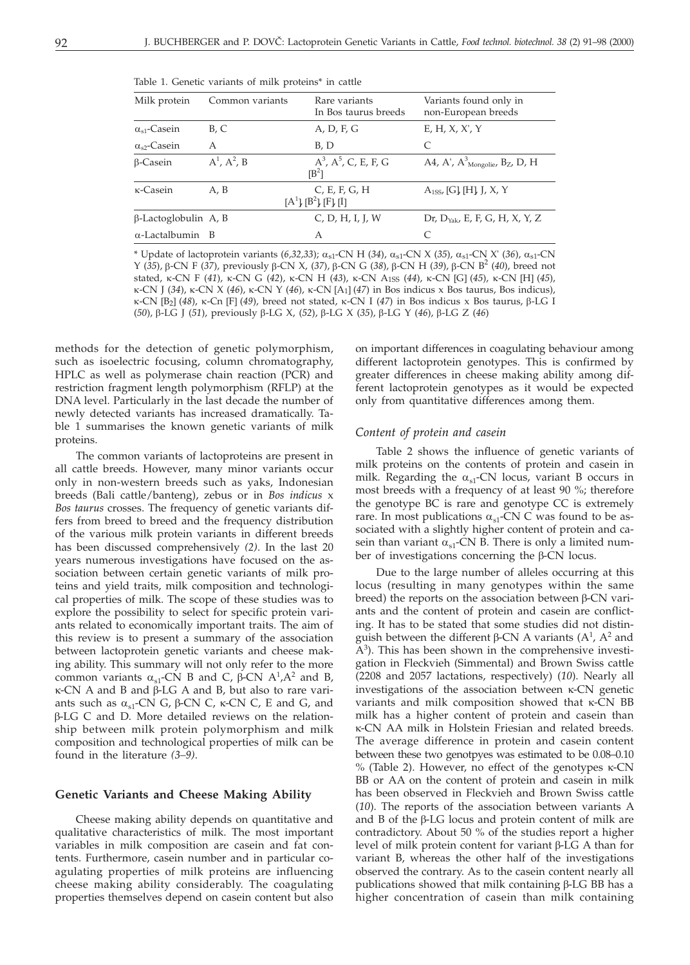| Milk protein                | Common variants     | Rare variants<br>In Bos taurus breeds     | Variants found only in<br>non-European breeds             |
|-----------------------------|---------------------|-------------------------------------------|-----------------------------------------------------------|
| $\alpha_{s1}$ -Casein       | B, C                | A, D, F, G                                | E, H, X, X', Y                                            |
| $\alpha_{s2}$ -Casein       | A                   | B.D                                       | C                                                         |
| $\beta$ -Casein             | $A^1$ , $A^2$ , $B$ | $A^3$ , $A^5$ , C, E, F, G<br>$[B^2]$     | A4, A', $A^3$ <sub>Mongolie</sub> , B <sub>Z</sub> , D, H |
| $\kappa$ -Casein            | A.B                 | C, E, F, G, H<br>$[A^1], [B^2], [F], [I]$ | $A_{1SS}$ [G], [H], J, X, Y                               |
| $\beta$ -Lactoglobulin A, B |                     | C, D, H, I, I, W                          | Dr, $D_{Yak}$ , E, F, G, H, X, Y, Z                       |
| $\alpha$ -Lactalbumin B     |                     | A                                         | C                                                         |

Table 1. Genetic variants of milk proteins\* in cattle

\* Update of lactoprotein variants  $(6,32,33)$ ;  $\alpha_{s1}$ -CN H (34),  $\alpha_{s1}$ -CN X (35),  $\alpha_{s1}$ -CN X' (36),  $\alpha_{s1}$ -CN Y (35), β-CN F (37), previously β-CN X, (37), β-CN G (38), β-CN H (39), β-CN B<sup>2</sup> (40), breed not stated, κ-CN F (41), κ-CN G (42), κ-CN H (43), κ-CN A<sub>1SS</sub> (44), κ-CN [G] (45), κ-CN [H] (45),  $\kappa$ -CN J (34),  $\kappa$ -CN X (46),  $\kappa$ -CN Y (46),  $\kappa$ -CN [A<sub>1</sub>] (47) in Bos indicus x Bos taurus, Bos indicus),  $\kappa$ -CN [B<sub>2</sub>] (48),  $\kappa$ -Cn [F] (49), breed not stated,  $\kappa$ -CN I (47) in Bos indicus x Bos taurus,  $\beta$ -LG I (50), β-LG J (51), previously β-LG X, (52), β-LG X (35), β-LG Y (46), β-LG Z (46)

methods for the detection of genetic polymorphism, such as isoelectric focusing, column chromatography, HPLC as well as polymerase chain reaction (PCR) and restriction fragment length polymorphism (RFLP) at the DNA level. Particularly in the last decade the number of newly detected variants has increased dramatically. Table 1 summarises the known genetic variants of milk proteins.

The common variants of lactoproteins are present in all cattle breeds. However, many minor variants occur only in non-western breeds such as yaks, Indonesian breeds (Bali cattle/banteng), zebus or in *Bos indicus* x *Bos taurus* crosses. The frequency of genetic variants differs from breed to breed and the frequency distribution of the various milk protein variants in different breeds has been discussed comprehensively *(2)*. In the last 20 years numerous investigations have focused on the association between certain genetic variants of milk proteins and yield traits, milk composition and technological properties of milk. The scope of these studies was to explore the possibility to select for specific protein variants related to economically important traits. The aim of this review is to present a summary of the association between lactoprotein genetic variants and cheese making ability. This summary will not only refer to the more common variants  $\alpha_{s1}$ -CN B and C,  $\beta$ -CN A<sup>1</sup>,A<sup>2</sup> and B,  $\kappa$ -CN A and B and  $\beta$ -LG A and B, but also to rare variants such as  $\alpha_{s1}$ -CN G,  $\beta$ -CN C,  $\kappa$ -CN C, E and G, and -LG C and D. More detailed reviews on the relationship between milk protein polymorphism and milk composition and technological properties of milk can be found in the literature *(3–9)*.

#### **Genetic Variants and Cheese Making Ability**

Cheese making ability depends on quantitative and qualitative characteristics of milk. The most important variables in milk composition are casein and fat contents. Furthermore, casein number and in particular coagulating properties of milk proteins are influencing cheese making ability considerably. The coagulating properties themselves depend on casein content but also

on important differences in coagulating behaviour among different lactoprotein genotypes. This is confirmed by greater differences in cheese making ability among different lactoprotein genotypes as it would be expected only from quantitative differences among them.

#### *Content of protein and casein*

Table 2 shows the influence of genetic variants of milk proteins on the contents of protein and casein in milk. Regarding the  $\alpha_{s1}$ -CN locus, variant B occurs in most breeds with a frequency of at least 90 %; therefore the genotype BC is rare and genotype CC is extremely rare. In most publications  $\alpha_{s1}$ -CN C was found to be associated with a slightly higher content of protein and casein than variant  $\alpha_{s1}$ -CN B. There is only a limited number of investigations concerning the  $\beta$ -CN locus.

Due to the large number of alleles occurring at this locus (resulting in many genotypes within the same breed) the reports on the association between  $\beta$ -CN variants and the content of protein and casein are conflicting. It has to be stated that some studies did not distinguish between the different  $\beta$ -CN A variants (A<sup>1</sup>, A<sup>2</sup> and  $A<sup>3</sup>$ ). This has been shown in the comprehensive investigation in Fleckvieh (Simmental) and Brown Swiss cattle (2208 and 2057 lactations, respectively) (*10*). Nearly all investigations of the association between  $\kappa$ -CN genetic variants and milk composition showed that  $\kappa$ -CN BB milk has a higher content of protein and casein than -CN AA milk in Holstein Friesian and related breeds. The average difference in protein and casein content between these two genotpyes was estimated to be 0.08–0.10 % (Table 2). However, no effect of the genotypes  $\kappa$ -CN BB or AA on the content of protein and casein in milk has been observed in Fleckvieh and Brown Swiss cattle (*10*). The reports of the association between variants A and  $B$  of the  $\beta$ -LG locus and protein content of milk are contradictory. About 50 % of the studies report a higher level of milk protein content for variant  $\beta$ -LG A than for variant B, whereas the other half of the investigations observed the contrary. As to the casein content nearly all publications showed that milk containing  $\beta$ -LG BB has a higher concentration of casein than milk containing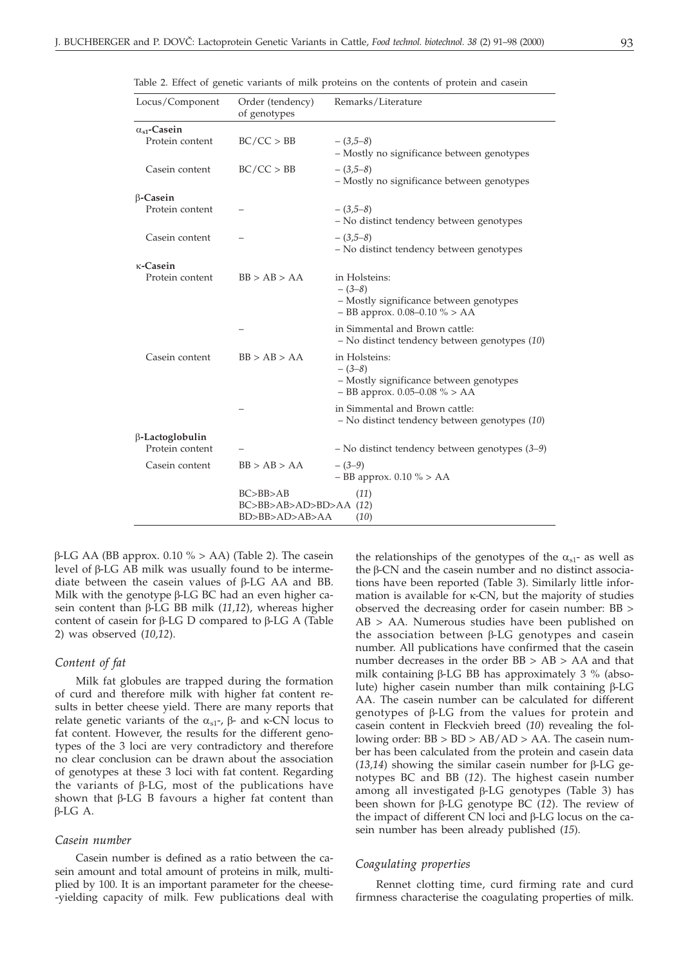| Locus/Component       | Order (tendency)<br>of genotypes                                 | Remarks/Literature                                                                                      |  |
|-----------------------|------------------------------------------------------------------|---------------------------------------------------------------------------------------------------------|--|
| $\alpha_{s1}$ -Casein |                                                                  |                                                                                                         |  |
| Protein content       | BC/CC > BB                                                       | $-(3,5-8)$<br>- Mostly no significance between genotypes                                                |  |
| Casein content        | BC/CC > BB                                                       | $-(3,5-8)$<br>- Mostly no significance between genotypes                                                |  |
| $\beta$ -Casein       |                                                                  |                                                                                                         |  |
| Protein content       |                                                                  | $-(3,5-8)$<br>- No distinct tendency between genotypes                                                  |  |
| Casein content        |                                                                  | $-$ (3,5–8)<br>- No distinct tendency between genotypes                                                 |  |
| $\kappa$ -Casein      |                                                                  |                                                                                                         |  |
| Protein content       | BB > AB > AA                                                     | in Holsteins:<br>$-(3-8)$<br>- Mostly significance between genotypes<br>- BB approx. 0.08-0.10 % > AA   |  |
|                       |                                                                  | in Simmental and Brown cattle:<br>- No distinct tendency between genotypes (10)                         |  |
| Casein content        | BB > AB > AA                                                     | in Holsteins:<br>$-(3-8)$<br>- Mostly significance between genotypes<br>$-$ BB approx. 0.05–0.08 % > AA |  |
|                       |                                                                  | in Simmental and Brown cattle:<br>- No distinct tendency between genotypes (10)                         |  |
| β-Lactoglobulin       |                                                                  |                                                                                                         |  |
| Protein content       |                                                                  | $-$ No distinct tendency between genotypes $(3-9)$                                                      |  |
| Casein content        | BB > AB > AA                                                     | $-(3-9)$<br>$-$ BB approx. 0.10 % > AA                                                                  |  |
|                       | BC>BB>AB<br>$BC > BB > AB > AD > BD > AA$ (12)<br>BD>BB>AD>AB>AA | (11)<br>(10)                                                                                            |  |

Table 2. Effect of genetic variants of milk proteins on the contents of protein and casein

 $\beta$ -LG AA (BB approx. 0.10 % > AA) (Table 2). The casein level of  $\beta$ -LG AB milk was usually found to be intermediate between the casein values of  $\beta$ -LG AA and BB. Milk with the genotype  $\beta$ -LG BC had an even higher casein content than  $\beta$ -LG BB milk (11,12), whereas higher content of casein for  $\beta$ -LG D compared to  $\beta$ -LG A (Table 2) was observed (*10,12*).

#### *Content of fat*

Milk fat globules are trapped during the formation of curd and therefore milk with higher fat content results in better cheese yield. There are many reports that relate genetic variants of the  $\alpha_{s1}$ -,  $\beta$ - and  $\kappa$ -CN locus to fat content. However, the results for the different genotypes of the 3 loci are very contradictory and therefore no clear conclusion can be drawn about the association of genotypes at these 3 loci with fat content. Regarding the variants of  $\beta$ -LG, most of the publications have shown that  $\beta$ -LG B favours a higher fat content than  $B$ -LG  $A$ .

#### *Casein number*

Casein number is defined as a ratio between the casein amount and total amount of proteins in milk, multiplied by 100. It is an important parameter for the cheese- -yielding capacity of milk. Few publications deal with

the relationships of the genotypes of the  $\alpha_{s1}$ - as well as the B-CN and the casein number and no distinct associations have been reported (Table 3). Similarly little information is available for  $\kappa$ -CN, but the majority of studies observed the decreasing order for casein number: BB > AB > AA. Numerous studies have been published on the association between  $\beta$ -LG genotypes and casein number. All publications have confirmed that the casein number decreases in the order BB > AB > AA and that milk containing  $\beta$ -LG BB has approximately 3 % (absolute) higher casein number than milk containing  $\beta$ -LG AA. The casein number can be calculated for different genotypes of  $\beta$ -LG from the values for protein and casein content in Fleckvieh breed (*10*) revealing the following order: BB > BD > AB/AD > AA. The casein number has been calculated from the protein and casein data  $(13,14)$  showing the similar casein number for  $\beta$ -LG genotypes BC and BB (*12*). The highest casein number among all investigated  $\beta$ -LG genotypes (Table 3) has been shown for  $\beta$ -LG genotype BC (12). The review of the impact of different  $CN$  loci and  $\beta$ -LG locus on the casein number has been already published (*15*).

#### *Coagulating properties*

Rennet clotting time, curd firming rate and curd firmness characterise the coagulating properties of milk.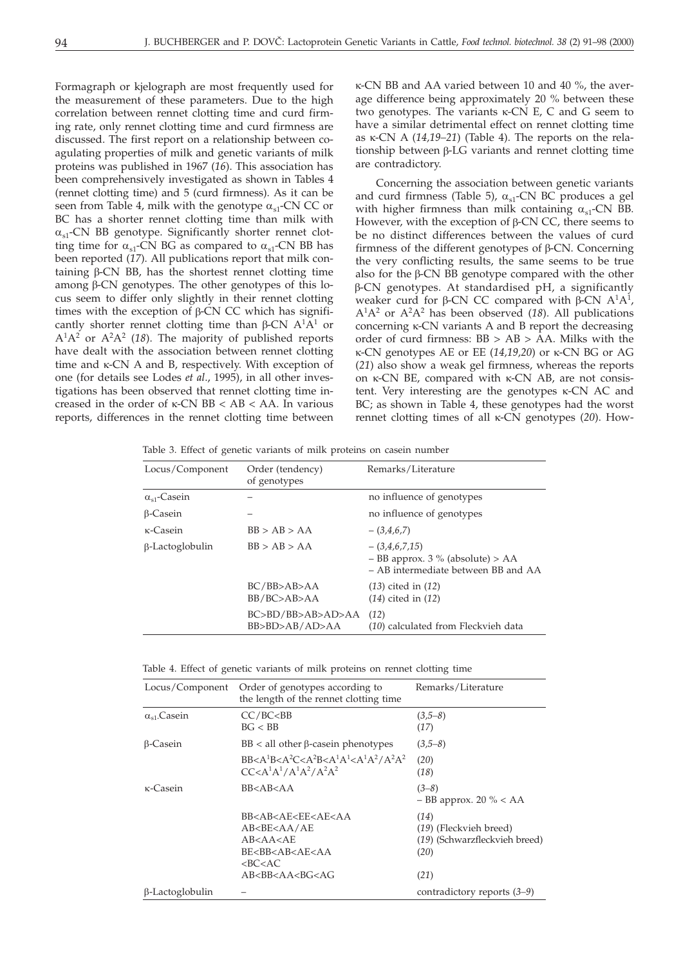Formagraph or kjelograph are most frequently used for the measurement of these parameters. Due to the high correlation between rennet clotting time and curd firming rate, only rennet clotting time and curd firmness are discussed. The first report on a relationship between coagulating properties of milk and genetic variants of milk proteins was published in 1967 (*16*). This association has been comprehensively investigated as shown in Tables 4 (rennet clotting time) and 5 (curd firmness). As it can be seen from Table 4, milk with the genotype  $\alpha_{s1}$ -CN CC or BC has a shorter rennet clotting time than milk with  $\alpha_{\rm{sl}}$ -CN BB genotype. Significantly shorter rennet clotting time for  $\alpha_{s1}$ -CN BG as compared to  $\alpha_{s1}$ -CN BB has been reported (*17*). All publications report that milk containing  $\beta$ -CN BB, has the shortest rennet clotting time among  $\beta$ -CN genotypes. The other genotypes of this locus seem to differ only slightly in their rennet clotting times with the exception of  $\beta$ -CN CC which has significantly shorter rennet clotting time than  $\beta$ -CN A<sup>1</sup>A<sup>1</sup> or  $A^1A^2$  or  $A^2A^2$  (18). The majority of published reports have dealt with the association between rennet clotting time and  $\kappa$ -CN A and B, respectively. With exception of one (for details see Lodes *et al*., 1995), in all other investigations has been observed that rennet clotting time increased in the order of  $\kappa$ -CN BB < AB < AA. In various reports, differences in the rennet clotting time between -CN BB and AA varied between 10 and 40 %, the average difference being approximately 20 % between these two genotypes. The variants  $\kappa$ -CN E, C and G seem to have a similar detrimental effect on rennet clotting time as  $\kappa$ -CN A (14,19–21) (Table 4). The reports on the relationship between  $\beta$ -LG variants and rennet clotting time are contradictory.

Concerning the association between genetic variants and curd firmness (Table 5),  $\alpha_{\rm{sl}}$ -CN BC produces a gel with higher firmness than milk containing  $\alpha_{s1}$ -CN BB. However, with the exception of  $\beta$ -CN CC, there seems to be no distinct differences between the values of curd firmness of the different genotypes of  $\beta$ -CN. Concerning the very conflicting results, the same seems to be true also for the  $\beta$ -CN BB genotype compared with the other  $\beta$ -CN genotypes. At standardised pH, a significantly weaker curd for  $\beta$ -CN CC compared with  $\beta$ -CN A<sup>1</sup>A<sup>1</sup>, A1A2 or A2A2 has been observed (*18*). All publications concerning  $\kappa$ -CN variants A and B report the decreasing order of curd firmness: BB > AB > AA. Milks with the  $\kappa$ -CN genotypes AE or EE (14,19,20) or  $\kappa$ -CN BG or AG (*21*) also show a weak gel firmness, whereas the reports on  $\kappa$ -CN BE, compared with  $\kappa$ -CN AB, are not consistent. Very interesting are the genotypes  $\kappa$ -CN AC and BC; as shown in Table 4, these genotypes had the worst rennet clotting times of all  $\kappa$ -CN genotypes (20). How-

Table 3. Effect of genetic variants of milk proteins on casein number

| Locus/Component       | Order (tendency)<br>of genotypes    | Remarks/Literature                                                                           |
|-----------------------|-------------------------------------|----------------------------------------------------------------------------------------------|
| $\alpha_{s1}$ -Casein |                                     | no influence of genotypes                                                                    |
| β-Casein              |                                     | no influence of genotypes                                                                    |
| κ-Casein              | BB > AB > AA                        | $-(3,4,6,7)$                                                                                 |
| β-Lactoglobulin       | BB > AB > AA                        | $-(3,4,6,7,15)$<br>$-$ BB approx. 3 % (absolute) > AA<br>- AB intermediate between BB and AA |
|                       | BC/BB>AB>AA<br>BB/BC>AB>AA          | $(13)$ cited in $(12)$<br>$(14)$ cited in $(12)$                                             |
|                       | BC>BD/BB>AB>AD>AA<br>BB>BD>AB/AD>AA | (12)<br>(10) calculated from Fleckvieh data                                                  |
|                       |                                     |                                                                                              |

Table 4. Effect of genetic variants of milk proteins on rennet clotting time

| Locus/Component        | Order of genotypes according to<br>the length of the rennet clotting time                                                                                             | Remarks/Literature                                                      |
|------------------------|-----------------------------------------------------------------------------------------------------------------------------------------------------------------------|-------------------------------------------------------------------------|
| $\alpha_{s1}$ . Casein | CC/BC < BB<br>BG < BB                                                                                                                                                 | $(3,5-8)$<br>(17)                                                       |
| β-Casein               | $BB < all$ other $\beta$ -casein phenotypes                                                                                                                           | $(3,5-8)$                                                               |
|                        | $BB < A1B < A2C < A2B < A1A1 < A1A2/A2A2$<br>$CC < A^{1}A^{1}/A^{1}A^{2}/A^{2}A^{2}$                                                                                  | (20)<br>(18)                                                            |
| $\kappa$ -Casein       | BB < AB < AA                                                                                                                                                          | $(3-8)$<br>$-$ BB approx. 20 % < AA                                     |
|                        | BB <ab<ae<ee<ae<aa<br>AB<be<aa ae<br="">AB &lt; A A &lt; AE<br/>BE<bb<ab<ae<aa<br><math>&lt;</math>BC<math>&lt;</math>AC</bb<ab<ae<aa<br></be<aa></ab<ae<ee<ae<aa<br> | (14)<br>(19) (Fleckvieh breed)<br>(19) (Schwarzfleckvieh breed)<br>(20) |
|                        | AB < B B < A A < B G < A G                                                                                                                                            | (21)                                                                    |
| $\beta$ -Lactoglobulin |                                                                                                                                                                       | contradictory reports $(3-9)$                                           |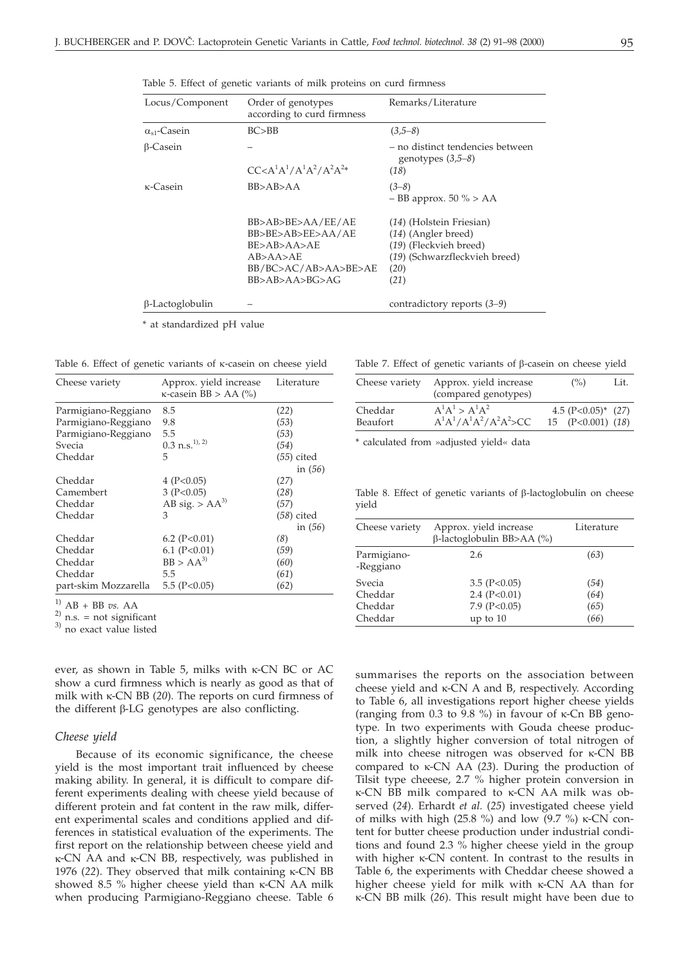| Locus/Component        | Order of genotypes<br>according to curd firmness                                                            | Remarks/Literature                                                                                                           |
|------------------------|-------------------------------------------------------------------------------------------------------------|------------------------------------------------------------------------------------------------------------------------------|
| $\alpha_{s1}$ -Casein  | BC > BB                                                                                                     | $(3,5-8)$                                                                                                                    |
| $\beta$ -Casein        | $CC < A^{1}A^{1}/A^{1}A^{2}/A^{2}A^{2*}$                                                                    | - no distinct tendencies between<br>genotypes $(3,5-8)$<br>(18)                                                              |
| κ-Casein               | BB>AB>AA                                                                                                    | $(3-8)$<br>$-$ BB approx. 50 % > AA                                                                                          |
|                        | BB>AB>BE>AA/EE/AE<br>BB>BE>AB>EE>AA/AE<br>BE>AB>AA>AE<br>AB>AA>AF<br>BB/BC>AC/AB>AA>BE>AE<br>BB>AB>AA>BG>AG | (14) (Holstein Friesian)<br>$(14)$ (Angler breed)<br>(19) (Fleckvieh breed)<br>(19) (Schwarzfleckvieh breed)<br>(20)<br>(21) |
| $\beta$ -Lactoglobulin |                                                                                                             | contradictory reports $(3-9)$                                                                                                |

Table 5. Effect of genetic variants of milk proteins on curd firmness

\* at standardized pH value

Table 6. Effect of genetic variants of  $\kappa$ -casein on cheese yield

| Cheese variety       | Approx. yield increase<br>$\kappa$ -casein BB > AA (%) | Literature   |
|----------------------|--------------------------------------------------------|--------------|
| Parmigiano-Reggiano  | 8.5                                                    | (22)         |
| Parmigiano-Reggiano  | 9.8                                                    | (53)         |
| Parmigiano-Reggiano  | 5.5                                                    | (53)         |
| Svecia               | $0.3 \text{ n.s.}^{1), 2)}$                            | (54)         |
| Cheddar              | 5                                                      | $(55)$ cited |
|                      |                                                        | in $(56)$    |
| Cheddar              | 4 ( $P<0.05$ )                                         | (27)         |
| Camembert            | 3 (P<0.05)                                             | (28)         |
| Cheddar              | AB sig. > $AA^{3}$                                     | (57)         |
| Cheddar              | 3                                                      | $(58)$ cited |
|                      |                                                        | in $(56)$    |
| Cheddar              | 6.2 ( $P<0.01$ )                                       | (8)          |
| Cheddar              | 6.1 $(P<0.01)$                                         | (59)         |
| Cheddar              | $BB > AA^{3}$                                          | (60)         |
| Cheddar              | 5.5                                                    | (61)         |
| part-skim Mozzarella | 5.5 $(P<0.05)$                                         | (62)         |

<sup>1)</sup>  $AB + BB$  *vs.* AA<br><sup>2)</sup> n.s. = not significant

 $^{3)}$  no exact value listed

ever, as shown in Table 5, milks with  $\kappa$ -CN BC or AC show a curd firmness which is nearly as good as that of milk with  $\kappa$ -CN BB (20). The reports on curd firmness of the different  $\beta$ -LG genotypes are also conflicting.

#### *Cheese yield*

Because of its economic significance, the cheese yield is the most important trait influenced by cheese making ability. In general, it is difficult to compare different experiments dealing with cheese yield because of different protein and fat content in the raw milk, different experimental scales and conditions applied and differences in statistical evaluation of the experiments. The first report on the relationship between cheese yield and  $\kappa$ -CN AA and  $\kappa$ -CN BB, respectively, was published in 1976 (22). They observed that milk containing  $\kappa$ -CN BB showed 8.5 % higher cheese yield than  $\kappa$ -CN AA milk when producing Parmigiano-Reggiano cheese. Table 6

Table 7. Effect of genetic variants of  $\beta$ -casein on cheese yield

| Cheese variety | Approx. yield increase<br>(compared genotypes) | $($ %)                | Lit. |
|----------------|------------------------------------------------|-----------------------|------|
| Cheddar        | $A^{1}A^{1} > A^{1}A^{2}$                      | 4.5 $(P<0.05)^*$ (27) |      |
| Beaufort       | $A^{1}A^{1}/A^{1}A^{2}/A^{2}A^{2} > CC$        | 15 $(P<0.001)$ (18)   |      |

\* calculated from »adjusted yield« data

Table 8. Effect of genetic variants of  $\beta$ -lactoglobulin on cheese yield

| Cheese variety                          | Approx. yield increase<br>$\beta$ -lactoglobulin BB>AA (%)         | Literature                   |
|-----------------------------------------|--------------------------------------------------------------------|------------------------------|
| Parmigiano-<br>-Reggiano                | 2.6                                                                | (63)                         |
| Svecia<br>Cheddar<br>Cheddar<br>Cheddar | $3.5$ (P<0.05)<br>$2.4$ (P<0.01)<br>7.9 ( $P<0.05$ )<br>up to $10$ | (54)<br>(64)<br>(65)<br>(66) |

summarises the reports on the association between cheese yield and  $\kappa$ -CN A and B, respectively. According to Table 6, all investigations report higher cheese yields (ranging from 0.3 to 9.8 %) in favour of  $\kappa$ -Cn BB genotype. In two experiments with Gouda cheese production, a slightly higher conversion of total nitrogen of milk into cheese nitrogen was observed for  $\kappa$ -CN BB compared to  $\kappa$ -CN AA (23). During the production of Tilsit type cheeese, 2.7 % higher protein conversion in K-CN BB milk compared to K-CN AA milk was observed (*24*). Erhardt *et al.* (*25*) investigated cheese yield of milks with high (25.8 %) and low (9.7 %)  $\kappa$ -CN content for butter cheese production under industrial conditions and found 2.3 % higher cheese yield in the group with higher  $\kappa$ -CN content. In contrast to the results in Table 6, the experiments with Cheddar cheese showed a higher cheese yield for milk with  $\kappa$ -CN AA than for -CN BB milk (*26*). This result might have been due to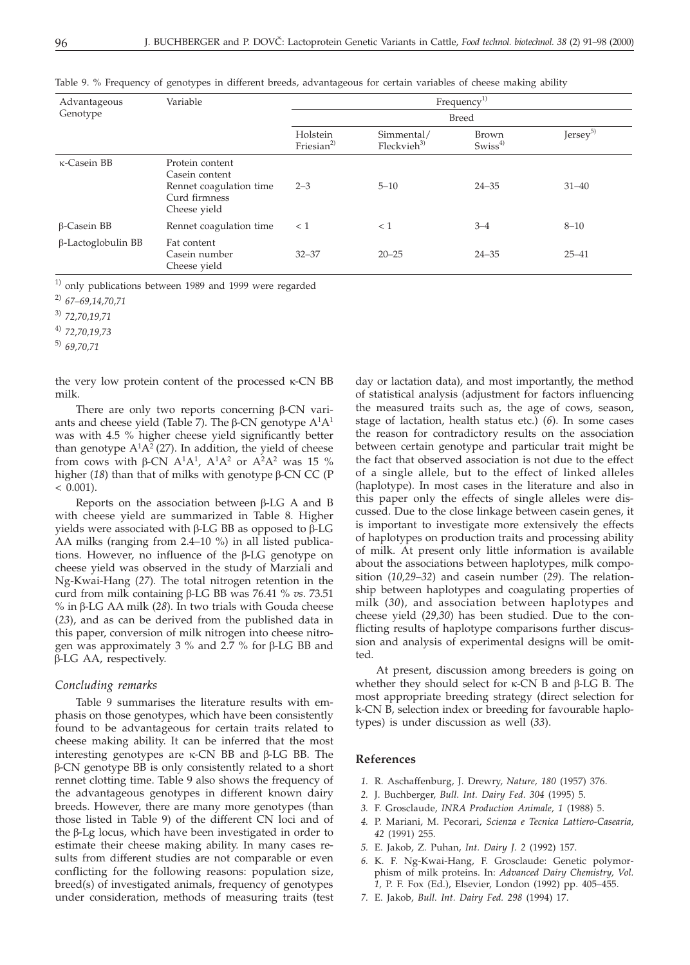| Advantageous              | Variable                                                                                      | Frequency <sup>1)</sup>            |                                      |                             |                      |
|---------------------------|-----------------------------------------------------------------------------------------------|------------------------------------|--------------------------------------|-----------------------------|----------------------|
| Genotype                  |                                                                                               | Breed                              |                                      |                             |                      |
|                           |                                                                                               | Holstein<br>Friesian <sup>2)</sup> | Simmental/<br>Fleckvieh <sup>3</sup> | Brown<br>Swiss <sup>4</sup> | Jersey <sup>5)</sup> |
| κ-Casein BB               | Protein content<br>Casein content<br>Rennet coagulation time<br>Curd firmness<br>Cheese yield | $2 - 3$                            | $5 - 10$                             | $24 - 35$                   | $31 - 40$            |
| <b>B-Casein BB</b>        | Rennet coagulation time                                                                       | < 1                                | < 1                                  | $3 - 4$                     | $8 - 10$             |
| $\beta$ -Lactoglobulin BB | Fat content<br>Casein number<br>Cheese yield                                                  | $32 - 37$                          | $20 - 25$                            | $24 - 35$                   | $25 - 41$            |

Table 9. % Frequency of genotypes in different breeds, advantageous for certain variables of cheese making ability

 $^{1)}$  only publications between 1989 and 1999 were regarded

2) *67–69,14,70,71*

3) *72,70,19,71*

4) *72,70,19,73*

5) *69,70,71*

the very low protein content of the processed  $\kappa$ -CN BB milk.

There are only two reports concerning  $\beta$ -CN variants and cheese yield (Table 7). The  $\beta$ -CN genotype  $A^1A^1$ was with 4.5 % higher cheese yield significantly better than genotype  $A^{1}A^{2}$  (27). In addition, the yield of cheese from cows with  $\beta$ -CN  $A<sup>1</sup>A<sup>1</sup>$ ,  $A<sup>1</sup>A<sup>2</sup>$  or  $A<sup>2</sup>A<sup>2</sup>$  was 15 % higher  $(18)$  than that of milks with genotype  $\beta$ -CN CC (P  $< 0.001$ ).

Reports on the association between  $\beta$ -LG A and B with cheese yield are summarized in Table 8. Higher yields were associated with  $\beta$ -LG BB as opposed to  $\beta$ -LG AA milks (ranging from 2.4–10 %) in all listed publications. However, no influence of the  $\beta$ -LG genotype on cheese yield was observed in the study of Marziali and Ng-Kwai-Hang (*27*). The total nitrogen retention in the curd from milk containing  $\beta$ -LG BB was 76.41 % *vs*. 73.51 % in β-LG AA milk (28). In two trials with Gouda cheese (*23*), and as can be derived from the published data in this paper, conversion of milk nitrogen into cheese nitrogen was approximately 3 % and 2.7 % for  $\beta$ -LG BB and β-LG AA, respectively.

### *Concluding remarks*

Table 9 summarises the literature results with emphasis on those genotypes, which have been consistently found to be advantageous for certain traits related to cheese making ability. It can be inferred that the most interesting genotypes are  $\kappa$ -CN BB and  $\beta$ -LG BB. The -CN genotype BB is only consistently related to a short rennet clotting time. Table 9 also shows the frequency of the advantageous genotypes in different known dairy breeds. However, there are many more genotypes (than those listed in Table 9) of the different CN loci and of the  $\beta$ -Lg locus, which have been investigated in order to estimate their cheese making ability. In many cases results from different studies are not comparable or even conflicting for the following reasons: population size, breed(s) of investigated animals, frequency of genotypes under consideration, methods of measuring traits (test

day or lactation data), and most importantly, the method of statistical analysis (adjustment for factors influencing the measured traits such as, the age of cows, season, stage of lactation, health status etc.) (*6*). In some cases the reason for contradictory results on the association between certain genotype and particular trait might be the fact that observed association is not due to the effect of a single allele, but to the effect of linked alleles (haplotype). In most cases in the literature and also in this paper only the effects of single alleles were discussed. Due to the close linkage between casein genes, it is important to investigate more extensively the effects of haplotypes on production traits and processing ability of milk. At present only little information is available about the associations between haplotypes, milk composition (*10,29–32*) and casein number (*29*). The relationship between haplotypes and coagulating properties of milk (*30*), and association between haplotypes and cheese yield (*29,30*) has been studied. Due to the conflicting results of haplotype comparisons further discussion and analysis of experimental designs will be omitted.

At present, discussion among breeders is going on whether they should select for  $\kappa$ -CN B and  $\beta$ -LG B. The most appropriate breeding strategy (direct selection for k-CN B, selection index or breeding for favourable haplotypes) is under discussion as well (*33*).

#### **References**

- *1.* R. Aschaffenburg, J. Drewry, *Nature, 180* (1957) 376.
- *2.* J. Buchberger, *Bull. Int. Dairy Fed. 304* (1995) 5.
- *3.* F. Grosclaude, *INRA Production Animale, 1* (1988) 5.
- *4.* P. Mariani, M. Pecorari, *Scienza e Tecnica Lattiero-Casearia, 42* (1991) 255.
- *5.* E. Jakob, Z. Puhan, *Int. Dairy J. 2* (1992) 157.
- *6.* K. F. Ng-Kwai-Hang, F. Grosclaude: Genetic polymorphism of milk proteins. In: *Advanced Dairy Chemistry, Vol. 1,* P. F. Fox (Ed.), Elsevier, London (1992) pp. 405–455.
- *7.* E. Jakob, *Bull. Int. Dairy Fed. 298* (1994) 17.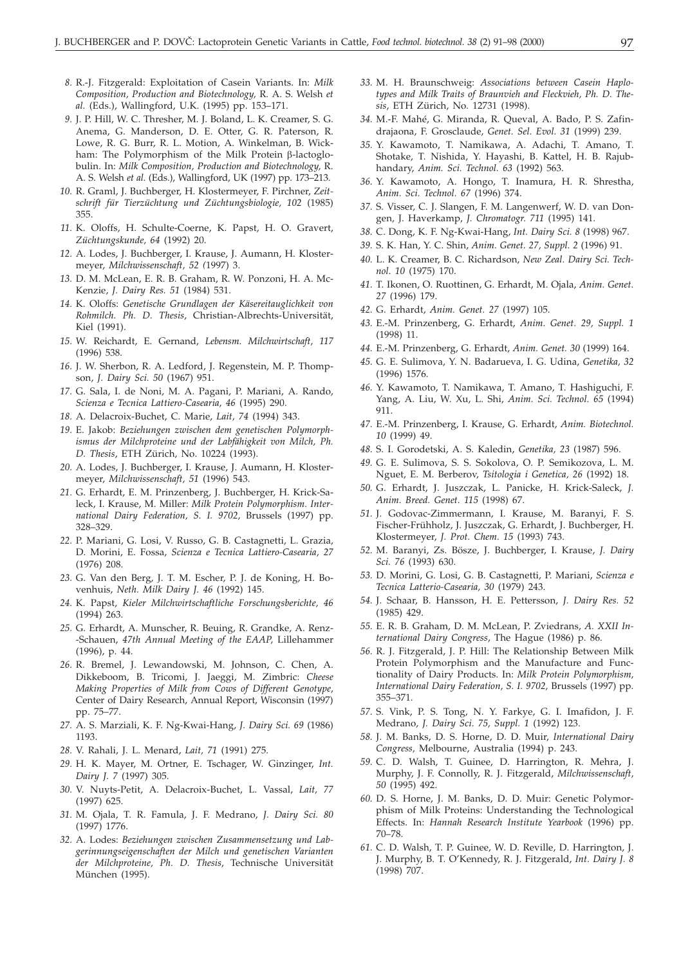- *8.* R.-J. Fitzgerald: Exploitation of Casein Variants. In: *Milk Composition, Production and Biotechnology,* R. A. S. Welsh *et al.* (Eds.), Wallingford, U.K. (1995) pp. 153–171.
- *9.* J. P. Hill, W. C. Thresher, M. J. Boland, L. K. Creamer, S. G. Anema, G. Manderson, D. E. Otter, G. R. Paterson, R. Lowe, R. G. Burr, R. L. Motion, A. Winkelman, B. Wickham: The Polymorphism of the Milk Protein  $\beta$ -lactoglobulin. In: *Milk Composition, Production and Biotechnology,* R. A. S. Welsh *et al.* (Eds.), Wallingford, UK (1997) pp. 173–213.
- *10.* R. Graml, J. Buchberger, H. Klostermeyer, F. Pirchner, *Zeitschrift für Tierzüchtung und Züchtungsbiologie, 102* (1985) 355.
- *11.* K. Oloffs, H. Schulte-Coerne, K. Papst, H. O. Gravert, *Züchtungskunde, 64* (1992) 20.
- *12.* A. Lodes, J. Buchberger, I. Krause, J. Aumann, H. Klostermeyer, *Milchwissenschaft, 52 (*1997) 3.
- *13.* D. M. McLean, E. R. B. Graham, R. W. Ponzoni, H. A. Mc-Kenzie, *J. Dairy Res. 51* (1984) 531.
- *14.* K. Oloffs: *Genetische Grundlagen der Käsereitauglichkeit von Rohmilch. Ph. D. Thesis*, Christian-Albrechts-Universität, Kiel (1991).
- *15.* W. Reichardt, E. Gernand, *Lebensm*. *Milchwirtschaft, 117* (1996) 538.
- *16.* J. W. Sherbon, R. A. Ledford, J. Regenstein, M. P. Thompson, *J. Dairy Sci. 50* (1967) 951.
- *17.* G. Sala, I. de Noni, M. A. Pagani, P. Mariani, A. Rando, *Scienza e Tecnica Lattiero-Casearia, 46* (1995) 290.
- *18.* A. Delacroix-Buchet, C. Marie, *Lait, 74* (1994) 343.
- *19.* E. Jakob: *Beziehungen zwischen dem genetischen Polymorphismus der Milchproteine und der Labfähigkeit von Milch, Ph. D. Thesis*, ETH Zürich, No. 10224 (1993).
- *20.* A. Lodes, J. Buchberger, I. Krause, J. Aumann, H. Klostermeyer, *Milchwissenschaft, 51* (1996) 543.
- *21.* G. Erhardt, E. M. Prinzenberg, J. Buchberger, H. Krick-Saleck, I. Krause, M. Miller: *Milk Protein Polymorphism. International Dairy Federation, S. I. 9702*, Brussels (1997) pp. 328–329.
- *22.* P. Mariani, G. Losi, V. Russo, G. B. Castagnetti, L. Grazia, D. Morini, E. Fossa, *Scienza e Tecnica Lattiero-Casearia, 27* (1976) 208.
- *23.* G. Van den Berg, J. T. M. Escher, P. J. de Koning, H. Bovenhuis, *Neth. Milk Dairy J. 46* (1992) 145.
- *24.* K. Papst, *Kieler Milchwirtschaftliche Forschungsberichte, 46*  $(1994)$ <sub>263</sub>.
- *25.* G. Erhardt, A. Munscher, R. Beuing, R. Grandke, A. Renz- -Schauen, *47th Annual Meeting of the EAAP,* Lillehammer (1996), p. 44.
- *26.* R. Bremel, J. Lewandowski, M. Johnson, C. Chen, A. Dikkeboom, B. Tricomi, J. Jaeggi, M. Zimbric: *Cheese Making Properties of Milk from Cows of Different Genotype*, Center of Dairy Research, Annual Report, Wisconsin (1997) pp. 75–77.
- *27.* A. S. Marziali, K. F. Ng-Kwai-Hang, *J. Dairy Sci. 69* (1986) 1193.
- *28.* V. Rahali, J. L. Menard, *Lait, 71* (1991) 275.
- *29.* H. K. Mayer, M. Ortner, E. Tschager, W. Ginzinger, *Int. Dairy J. 7* (1997) 305.
- *30.* V. Nuyts-Petit, A. Delacroix-Buchet, L. Vassal, *Lait, 77* (1997) 625.
- *31.* M. Ojala, T. R. Famula, J. F. Medrano, *J. Dairy Sci. 80* (1997) 1776.
- *32.* A. Lodes: *Beziehungen zwischen Zusammensetzung und Labgerinnungseigenschaften der Milch und genetischen Varianten der Milchproteine, Ph. D. Thesis*, Technische Universität München (1995).
- *33.* M. H. Braunschweig: *Associations between Casein Haplotypes and Milk Traits of Braunvieh and Fleckvieh, Ph. D. Thesis*, ETH Zürich, No. 12731 (1998).
- *34.* M.-F. Mahé, G. Miranda, R. Queval, A. Bado, P. S. Zafindrajaona, F. Grosclaude, *Genet. Sel. Evol. 31* (1999) 239.
- *35.* Y. Kawamoto, T. Namikawa, A. Adachi, T. Amano, T. Shotake, T. Nishida, Y. Hayashi, B. Kattel, H. B. Rajubhandary, *Anim. Sci. Technol. 63* (1992) 563.
- *36.* Y. Kawamoto, A. Hongo, T. Inamura, H. R. Shrestha, *Anim. Sci. Technol. 67* (1996) 374.
- *37.* S. Visser, C. J. Slangen, F. M. Langenwerf, W. D. van Dongen, J. Haverkamp, *J. Chromatogr. 711* (1995) 141.
- *38.* C. Dong, K. F. Ng-Kwai-Hang, *Int. Dairy Sci. 8* (1998) 967.
- *39.* S. K. Han, Y. C. Shin, *Anim. Genet. 27, Suppl. 2* (1996) 91.
- *40.* L. K. Creamer, B. C. Richardson, *New Zeal. Dairy Sci. Technol. 10* (1975) 170.
- *41.* T. Ikonen, O. Ruottinen, G. Erhardt, M. Ojala, *Anim. Genet. 27* (1996) 179.
- *42.* G. Erhardt, *Anim. Genet. 27* (1997) 105.
- *43.* E.-M. Prinzenberg, G. Erhardt, *Anim. Genet. 29, Suppl. 1* (1998) 11.
- *44.* E.-M. Prinzenberg, G. Erhardt, *Anim. Genet. 30* (1999) 164.
- *45.* G. E. Sulimova, Y. N. Badarueva, I. G. Udina, *Genetika, 32* (1996) 1576.
- *46.* Y. Kawamoto, T. Namikawa, T. Amano, T. Hashiguchi, F. Yang, A. Liu, W. Xu, L. Shi, *Anim. Sci. Technol. 65* (1994) 911.
- *47.* E.-M. Prinzenberg, I. Krause, G. Erhardt, *Anim. Biotechnol. 10* (1999) 49.
- *48.* S. I. Gorodetski, A. S. Kaledin, *Genetika, 23* (1987) 596.
- *49.* G. E. Sulimova, S. S. Sokolova, O. P. Semikozova, L. M. Nguet, E. M. Berberov, *Tsitologia i Genetica, 26* (1992) 18.
- *50.* G. Erhardt, J. Juszczak, L. Panicke, H. Krick-Saleck, *J. Anim. Breed. Genet. 115* (1998) 67.
- *51.* J. Godovac-Zimmermann, I. Krause, M. Baranyi, F. S. Fischer-Frühholz, J. Juszczak, G. Erhardt, J. Buchberger, H. Klostermeyer, *J. Prot. Chem. 15* (1993) 743.
- *52.* M. Baranyi, Zs. Bösze, J. Buchberger, I. Krause, *J. Dairy Sci. 76* (1993) 630.
- *53.* D. Morini, G. Losi, G. B. Castagnetti, P. Mariani, *Scienza e Tecnica Latterio-Casearia, 30* (1979) 243.
- *54.* J. Schaar, B. Hansson, H. E. Pettersson, *J. Dairy Res. 52* (1985) 429.
- *55.* E. R. B. Graham, D. M. McLean, P. Zviedrans, *A. XXII International Dairy Congress*, The Hague (1986) p. 86.
- *56.* R. J. Fitzgerald, J. P. Hill: The Relationship Between Milk Protein Polymorphism and the Manufacture and Functionality of Dairy Products. In: *Milk Protein Polymorphism, International Dairy Federation, S. I. 9702,* Brussels (1997) pp. 355–371.
- *57.* S. Vink, P. S. Tong, N. Y. Farkye, G. I. Imafidon, J. F. Medrano, *J. Dairy Sci. 75, Suppl. 1* (1992) 123.
- *58.* J. M. Banks, D. S. Horne, D. D. Muir, *International Dairy Congress,* Melbourne, Australia (1994) p. 243.
- *59.* C. D. Walsh, T. Guinee, D. Harrington, R. Mehra, J. Murphy, J. F. Connolly, R. J. Fitzgerald, *Milchwissenschaft, 50* (1995) 492.
- *60.* D. S. Horne, J. M. Banks, D. D. Muir: Genetic Polymorphism of Milk Proteins: Understanding the Technological Effects. In: *Hannah Research Institute Yearbook* (1996) pp. 70–78.
- *61.* C. D. Walsh, T. P. Guinee, W. D. Reville, D. Harrington, J. J. Murphy, B. T. O'Kennedy, R. J. Fitzgerald, *Int. Dairy J. 8* (1998) 707.